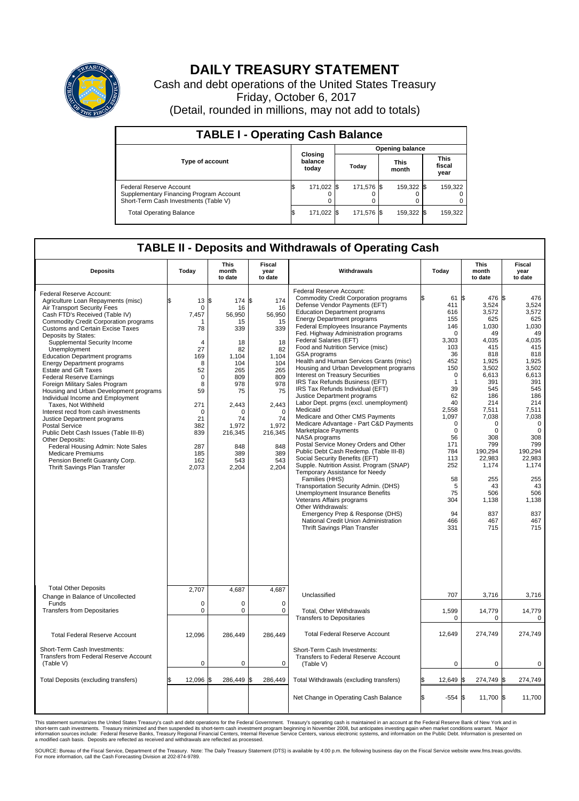

## **DAILY TREASURY STATEMENT**

Cash and debt operations of the United States Treasury Friday, October 6, 2017 (Detail, rounded in millions, may not add to totals)

| <b>TABLE I - Operating Cash Balance</b>                                                                     |     |                             |                        |             |  |                      |  |                               |  |
|-------------------------------------------------------------------------------------------------------------|-----|-----------------------------|------------------------|-------------|--|----------------------|--|-------------------------------|--|
|                                                                                                             |     |                             | <b>Opening balance</b> |             |  |                      |  |                               |  |
| <b>Type of account</b>                                                                                      |     | Closing<br>balance<br>today |                        | Today       |  | <b>This</b><br>month |  | <b>This</b><br>fiscal<br>year |  |
| Federal Reserve Account<br>Supplementary Financing Program Account<br>Short-Term Cash Investments (Table V) |     | 171,022 \$                  |                        | 171.576 \\$ |  | 159,322 \$           |  | 159,322                       |  |
| <b>Total Operating Balance</b>                                                                              | I\$ | 171,022 \$                  |                        | 171,576 \$  |  | 159,322 \$           |  | 159,322                       |  |

## **TABLE II - Deposits and Withdrawals of Operating Cash**

| <b>Deposits</b>                                                                                                                                                                                                                                                                                                                                                                                                                                                                                                                                                                                                                                                                                                                                                                                                                                                                 | Today                                                                                                                                                     | <b>This</b><br>month<br>to date                                                                                                                                               | Fiscal<br>year<br>to date                                                                                                                                            | Withdrawals                                                                                                                                                                                                                                                                                                                                                                                                                                                                                                                                                                                                                                                                                                                                                                                                                                                                                                                                                                                                                                                                                                                                                                                                                         | Today                                                                                                                                                                                                                                                | <b>This</b><br>month<br>to date                                                                                                                                                                                                                                                   | Fiscal<br>year<br>to date                                                                                                                                                                                                                                               |
|---------------------------------------------------------------------------------------------------------------------------------------------------------------------------------------------------------------------------------------------------------------------------------------------------------------------------------------------------------------------------------------------------------------------------------------------------------------------------------------------------------------------------------------------------------------------------------------------------------------------------------------------------------------------------------------------------------------------------------------------------------------------------------------------------------------------------------------------------------------------------------|-----------------------------------------------------------------------------------------------------------------------------------------------------------|-------------------------------------------------------------------------------------------------------------------------------------------------------------------------------|----------------------------------------------------------------------------------------------------------------------------------------------------------------------|-------------------------------------------------------------------------------------------------------------------------------------------------------------------------------------------------------------------------------------------------------------------------------------------------------------------------------------------------------------------------------------------------------------------------------------------------------------------------------------------------------------------------------------------------------------------------------------------------------------------------------------------------------------------------------------------------------------------------------------------------------------------------------------------------------------------------------------------------------------------------------------------------------------------------------------------------------------------------------------------------------------------------------------------------------------------------------------------------------------------------------------------------------------------------------------------------------------------------------------|------------------------------------------------------------------------------------------------------------------------------------------------------------------------------------------------------------------------------------------------------|-----------------------------------------------------------------------------------------------------------------------------------------------------------------------------------------------------------------------------------------------------------------------------------|-------------------------------------------------------------------------------------------------------------------------------------------------------------------------------------------------------------------------------------------------------------------------|
| Federal Reserve Account:<br>Agriculture Loan Repayments (misc)<br>Air Transport Security Fees<br>Cash FTD's Received (Table IV)<br><b>Commodity Credit Corporation programs</b><br><b>Customs and Certain Excise Taxes</b><br>Deposits by States:<br>Supplemental Security Income<br>Unemployment<br><b>Education Department programs</b><br><b>Energy Department programs</b><br>Estate and Gift Taxes<br><b>Federal Reserve Earnings</b><br>Foreign Military Sales Program<br>Housing and Urban Development programs<br>Individual Income and Employment<br>Taxes, Not Withheld<br>Interest recd from cash investments<br>Justice Department programs<br><b>Postal Service</b><br>Public Debt Cash Issues (Table III-B)<br>Other Deposits:<br>Federal Housing Admin: Note Sales<br><b>Medicare Premiums</b><br>Pension Benefit Guaranty Corp.<br>Thrift Savings Plan Transfer | 13<br>\$.<br>0<br>7,457<br>78<br>4<br>27<br>169<br>8<br>52<br>$\mathbf 0$<br>8<br>59<br>271<br>$\Omega$<br>21<br>382<br>839<br>287<br>185<br>162<br>2,073 | \$<br>174 \$<br>16<br>56,950<br>15<br>339<br>18<br>82<br>1,104<br>104<br>265<br>809<br>978<br>75<br>2,443<br>$\Omega$<br>74<br>1,972<br>216,345<br>848<br>389<br>543<br>2,204 | 174<br>16<br>56,950<br>15<br>339<br>18<br>82<br>1,104<br>104<br>265<br>809<br>978<br>75<br>2,443<br>$\Omega$<br>74<br>1,972<br>216,345<br>848<br>389<br>543<br>2,204 | Federal Reserve Account:<br><b>Commodity Credit Corporation programs</b><br>Defense Vendor Payments (EFT)<br><b>Education Department programs</b><br><b>Energy Department programs</b><br><b>Federal Employees Insurance Payments</b><br>Fed. Highway Administration programs<br>Federal Salaries (EFT)<br>Food and Nutrition Service (misc)<br>GSA programs<br>Health and Human Services Grants (misc)<br>Housing and Urban Development programs<br>Interest on Treasury Securities<br>IRS Tax Refunds Business (EFT)<br>IRS Tax Refunds Individual (EFT)<br>Justice Department programs<br>Labor Dept. prgms (excl. unemployment)<br>Medicaid<br>Medicare and Other CMS Payments<br>Medicare Advantage - Part C&D Payments<br>Marketplace Payments<br>NASA programs<br>Postal Service Money Orders and Other<br>Public Debt Cash Redemp. (Table III-B)<br>Social Security Benefits (EFT)<br>Supple. Nutrition Assist. Program (SNAP)<br>Temporary Assistance for Needy<br>Families (HHS)<br>Transportation Security Admin. (DHS)<br>Unemployment Insurance Benefits<br>Veterans Affairs programs<br>Other Withdrawals:<br>Emergency Prep & Response (DHS)<br>National Credit Union Administration<br>Thrift Savings Plan Transfer | 61<br>411<br>616<br>155<br>146<br>$\pmb{0}$<br>3,303<br>103<br>36<br>452<br>150<br>$\mathbf 0$<br>$\mathbf{1}$<br>39<br>62<br>40<br>2,558<br>1,097<br>$\mathbf 0$<br>0<br>56<br>171<br>784<br>113<br>252<br>58<br>5<br>75<br>304<br>94<br>466<br>331 | 476 \$<br>l\$<br>3,524<br>3,572<br>625<br>1,030<br>49<br>4,035<br>415<br>818<br>1,925<br>3,502<br>6,613<br>391<br>545<br>186<br>214<br>7,511<br>7,038<br>$\mathbf 0$<br>$\mathbf 0$<br>308<br>799<br>190,294<br>22,983<br>1,174<br>255<br>43<br>506<br>1,138<br>837<br>467<br>715 | 476<br>3,524<br>3,572<br>625<br>1,030<br>49<br>4,035<br>415<br>818<br>1,925<br>3,502<br>6.613<br>391<br>545<br>186<br>214<br>7,511<br>7,038<br>$\mathbf 0$<br>$\mathbf 0$<br>308<br>799<br>190,294<br>22,983<br>1,174<br>255<br>43<br>506<br>1,138<br>837<br>467<br>715 |
| <b>Total Other Deposits</b><br>Change in Balance of Uncollected                                                                                                                                                                                                                                                                                                                                                                                                                                                                                                                                                                                                                                                                                                                                                                                                                 | 2,707                                                                                                                                                     | 4,687                                                                                                                                                                         | 4,687                                                                                                                                                                | Unclassified                                                                                                                                                                                                                                                                                                                                                                                                                                                                                                                                                                                                                                                                                                                                                                                                                                                                                                                                                                                                                                                                                                                                                                                                                        | 707                                                                                                                                                                                                                                                  | 3,716                                                                                                                                                                                                                                                                             | 3,716                                                                                                                                                                                                                                                                   |
| Funds<br><b>Transfers from Depositaries</b>                                                                                                                                                                                                                                                                                                                                                                                                                                                                                                                                                                                                                                                                                                                                                                                                                                     | $\mathbf 0$<br>$\mathbf 0$                                                                                                                                | 0<br>0                                                                                                                                                                        | $\mathbf 0$<br>$\mathbf 0$                                                                                                                                           | Total, Other Withdrawals<br><b>Transfers to Depositaries</b>                                                                                                                                                                                                                                                                                                                                                                                                                                                                                                                                                                                                                                                                                                                                                                                                                                                                                                                                                                                                                                                                                                                                                                        | 1,599<br>$\Omega$                                                                                                                                                                                                                                    | 14,779<br>$\Omega$                                                                                                                                                                                                                                                                | 14,779<br>$\Omega$                                                                                                                                                                                                                                                      |
| <b>Total Federal Reserve Account</b>                                                                                                                                                                                                                                                                                                                                                                                                                                                                                                                                                                                                                                                                                                                                                                                                                                            | 12,096                                                                                                                                                    | 286,449                                                                                                                                                                       | 286,449                                                                                                                                                              | <b>Total Federal Reserve Account</b>                                                                                                                                                                                                                                                                                                                                                                                                                                                                                                                                                                                                                                                                                                                                                                                                                                                                                                                                                                                                                                                                                                                                                                                                | 12,649                                                                                                                                                                                                                                               | 274,749                                                                                                                                                                                                                                                                           | 274,749                                                                                                                                                                                                                                                                 |
| Short-Term Cash Investments:<br>Transfers from Federal Reserve Account<br>(Table V)                                                                                                                                                                                                                                                                                                                                                                                                                                                                                                                                                                                                                                                                                                                                                                                             | $\pmb{0}$                                                                                                                                                 | 0                                                                                                                                                                             | 0                                                                                                                                                                    | Short-Term Cash Investments:<br>Transfers to Federal Reserve Account<br>(Table V)                                                                                                                                                                                                                                                                                                                                                                                                                                                                                                                                                                                                                                                                                                                                                                                                                                                                                                                                                                                                                                                                                                                                                   | $\mathbf 0$                                                                                                                                                                                                                                          | 0                                                                                                                                                                                                                                                                                 | 0                                                                                                                                                                                                                                                                       |
| Total Deposits (excluding transfers)                                                                                                                                                                                                                                                                                                                                                                                                                                                                                                                                                                                                                                                                                                                                                                                                                                            | 12,096                                                                                                                                                    | l\$<br>286,449 \$                                                                                                                                                             | 286,449                                                                                                                                                              | Total Withdrawals (excluding transfers)                                                                                                                                                                                                                                                                                                                                                                                                                                                                                                                                                                                                                                                                                                                                                                                                                                                                                                                                                                                                                                                                                                                                                                                             | 12,649                                                                                                                                                                                                                                               | 274,749 \$                                                                                                                                                                                                                                                                        | 274,749                                                                                                                                                                                                                                                                 |
|                                                                                                                                                                                                                                                                                                                                                                                                                                                                                                                                                                                                                                                                                                                                                                                                                                                                                 |                                                                                                                                                           |                                                                                                                                                                               |                                                                                                                                                                      | Net Change in Operating Cash Balance                                                                                                                                                                                                                                                                                                                                                                                                                                                                                                                                                                                                                                                                                                                                                                                                                                                                                                                                                                                                                                                                                                                                                                                                | $-554$ \$                                                                                                                                                                                                                                            | 11,700 \$                                                                                                                                                                                                                                                                         | 11,700                                                                                                                                                                                                                                                                  |

This statement summarizes the United States Treasury's cash and debt operations for the Federal Government. Treasury's operating cash is maintained in an account at the Federal Reserve Bank of New York and in<br>short-term ca

SOURCE: Bureau of the Fiscal Service, Department of the Treasury. Note: The Daily Treasury Statement (DTS) is available by 4:00 p.m. the following business day on the Fiscal Service website www.fms.treas.gov/dts.<br>For more